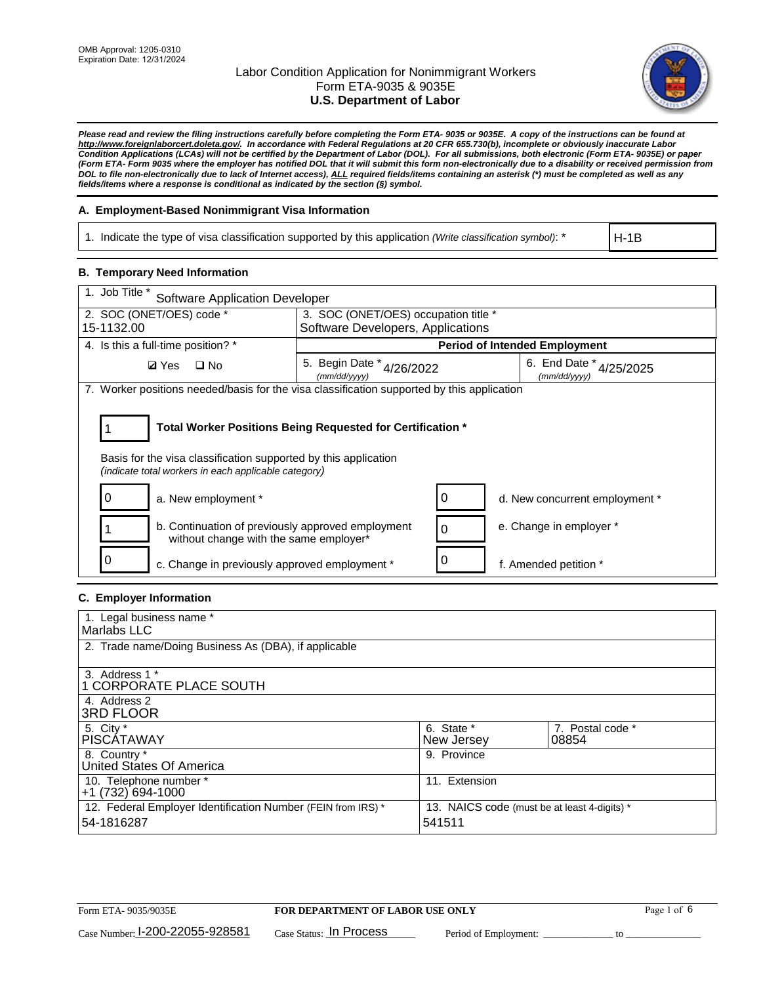

*Please read and review the filing instructions carefully before completing the Form ETA- 9035 or 9035E. A copy of the instructions can be found at http://www.foreignlaborcert.doleta.gov/. In accordance with Federal Regulations at 20 CFR 655.730(b), incomplete or obviously inaccurate Labor Condition Applications (LCAs) will not be certified by the Department of Labor (DOL). For all submissions, both electronic (Form ETA- 9035E) or paper (Form ETA- Form 9035 where the employer has notified DOL that it will submit this form non-electronically due to a disability or received permission from DOL to file non-electronically due to lack of Internet access), ALL required fields/items containing an asterisk (\*) must be completed as well as any fields/items where a response is conditional as indicated by the section (§) symbol.* 

### **A. Employment-Based Nonimmigrant Visa Information**

1. Indicate the type of visa classification supported by this application *(Write classification symbol)*: \*

H-1B

### **B. Temporary Need Information**

| 1. Job Title *<br><b>Software Application Developer</b>                                                                                                                               |                                               |   |                                             |  |  |
|---------------------------------------------------------------------------------------------------------------------------------------------------------------------------------------|-----------------------------------------------|---|---------------------------------------------|--|--|
| 2. SOC (ONET/OES) code *<br>3. SOC (ONET/OES) occupation title *                                                                                                                      |                                               |   |                                             |  |  |
| 15-1132.00                                                                                                                                                                            | Software Developers, Applications             |   |                                             |  |  |
| 4. Is this a full-time position? *                                                                                                                                                    | <b>Period of Intended Employment</b>          |   |                                             |  |  |
| $\Box$ No<br><b>Ø</b> Yes                                                                                                                                                             | 5. Begin Date $*_{4/26/2022}$<br>(mm/dd/yyyy) |   | 6. End Date $*_{4/25/2025}$<br>(mm/dd/yyyy) |  |  |
| 7. Worker positions needed/basis for the visa classification supported by this application                                                                                            |                                               |   |                                             |  |  |
| Total Worker Positions Being Requested for Certification *<br>Basis for the visa classification supported by this application<br>(indicate total workers in each applicable category) |                                               |   |                                             |  |  |
| a. New employment *                                                                                                                                                                   |                                               | 0 | d. New concurrent employment *              |  |  |
| b. Continuation of previously approved employment<br>without change with the same employer*                                                                                           |                                               | 0 | e. Change in employer *                     |  |  |
| c. Change in previously approved employment *                                                                                                                                         |                                               |   | f. Amended petition *                       |  |  |

# **C. Employer Information**

| 1. Legal business name *                                     |                                              |                  |
|--------------------------------------------------------------|----------------------------------------------|------------------|
| Marlabs LLC                                                  |                                              |                  |
| 2. Trade name/Doing Business As (DBA), if applicable         |                                              |                  |
|                                                              |                                              |                  |
| 3. Address 1 *                                               |                                              |                  |
| 1 CORPORATE PLACE SOUTH                                      |                                              |                  |
| 4. Address 2                                                 |                                              |                  |
| <b>3RD FLOOR</b>                                             |                                              |                  |
| 5. City *                                                    | 6. State *                                   | 7. Postal code * |
| PISCÁTAWAY                                                   | New Jersey                                   | 08854            |
| 8. Country *                                                 | 9. Province                                  |                  |
| United States Of America                                     |                                              |                  |
| 10. Telephone number *                                       | 11. Extension                                |                  |
| $+1(732)694-1000$                                            |                                              |                  |
| 12. Federal Employer Identification Number (FEIN from IRS) * | 13. NAICS code (must be at least 4-digits) * |                  |
| 54-1816287                                                   | 541511                                       |                  |
|                                                              |                                              |                  |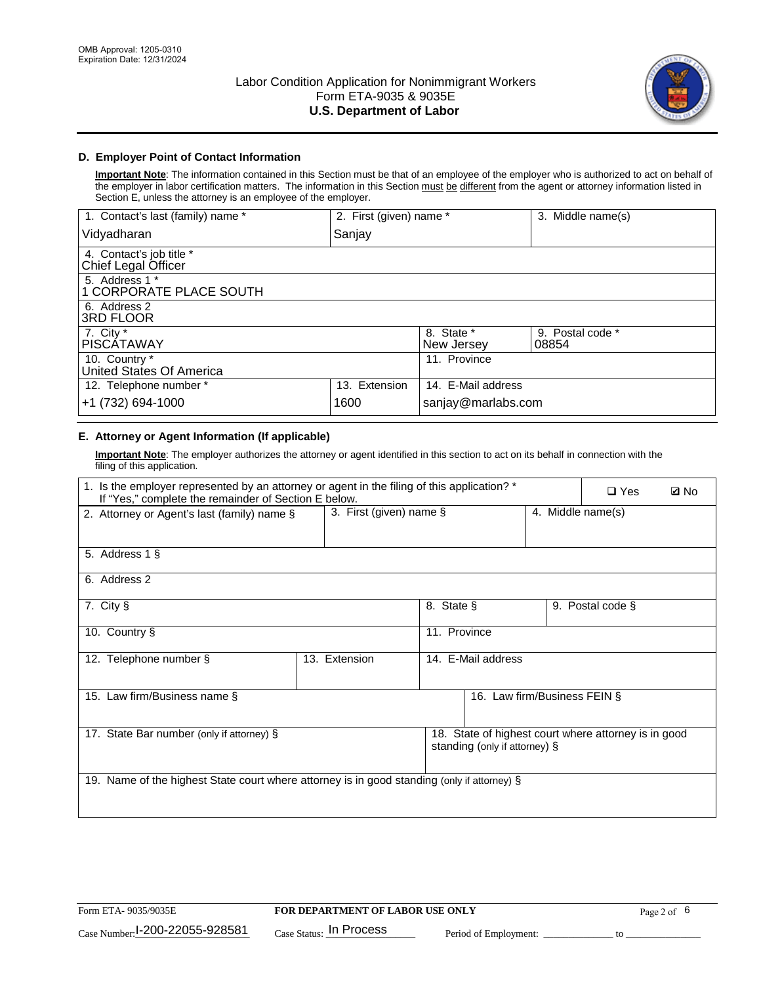

### **D. Employer Point of Contact Information**

**Important Note**: The information contained in this Section must be that of an employee of the employer who is authorized to act on behalf of the employer in labor certification matters. The information in this Section must be different from the agent or attorney information listed in Section E, unless the attorney is an employee of the employer.

| 1. Contact's last (family) name *               | 2. First (given) name * |                          | 3. Middle name(s)         |
|-------------------------------------------------|-------------------------|--------------------------|---------------------------|
| Vidyadharan                                     | Sanjay                  |                          |                           |
| 4. Contact's job title *<br>Chief Legal Officer |                         |                          |                           |
| 5. Address 1 *<br>1 CORPORATE PLACE SOUTH       |                         |                          |                           |
| 6. Address 2<br>3RD FLOOR                       |                         |                          |                           |
| 7. City $*$<br><b>PISCÁTAWAY</b>                |                         | 8. State *<br>New Jersey | 9. Postal code *<br>08854 |
| 10. Country *<br>United States Of America       |                         | 11. Province             |                           |
| 12. Telephone number *                          | 13. Extension           | 14. E-Mail address       |                           |
| +1 (732) 694-1000                               | 1600                    | sanjay@marlabs.com       |                           |

# **E. Attorney or Agent Information (If applicable)**

**Important Note**: The employer authorizes the attorney or agent identified in this section to act on its behalf in connection with the filing of this application.

| 1. Is the employer represented by an attorney or agent in the filing of this application? *<br>If "Yes," complete the remainder of Section E below. |                         |              |                               |                   | $\square$ Yes                                        | <b>ØNo</b> |
|-----------------------------------------------------------------------------------------------------------------------------------------------------|-------------------------|--------------|-------------------------------|-------------------|------------------------------------------------------|------------|
| 2. Attorney or Agent's last (family) name §                                                                                                         | 3. First (given) name § |              |                               | 4. Middle name(s) |                                                      |            |
| 5. Address 1 §                                                                                                                                      |                         |              |                               |                   |                                                      |            |
| 6. Address 2                                                                                                                                        |                         |              |                               |                   |                                                      |            |
| 7. City §                                                                                                                                           |                         | 8. State §   |                               |                   | 9. Postal code §                                     |            |
| 10. Country §                                                                                                                                       |                         | 11. Province |                               |                   |                                                      |            |
| 12. Telephone number §                                                                                                                              | 13. Extension           |              | 14. E-Mail address            |                   |                                                      |            |
| 15. Law firm/Business name §                                                                                                                        |                         |              | 16. Law firm/Business FEIN §  |                   |                                                      |            |
| 17. State Bar number (only if attorney) §                                                                                                           |                         |              | standing (only if attorney) § |                   | 18. State of highest court where attorney is in good |            |
| 19. Name of the highest State court where attorney is in good standing (only if attorney) §                                                         |                         |              |                               |                   |                                                      |            |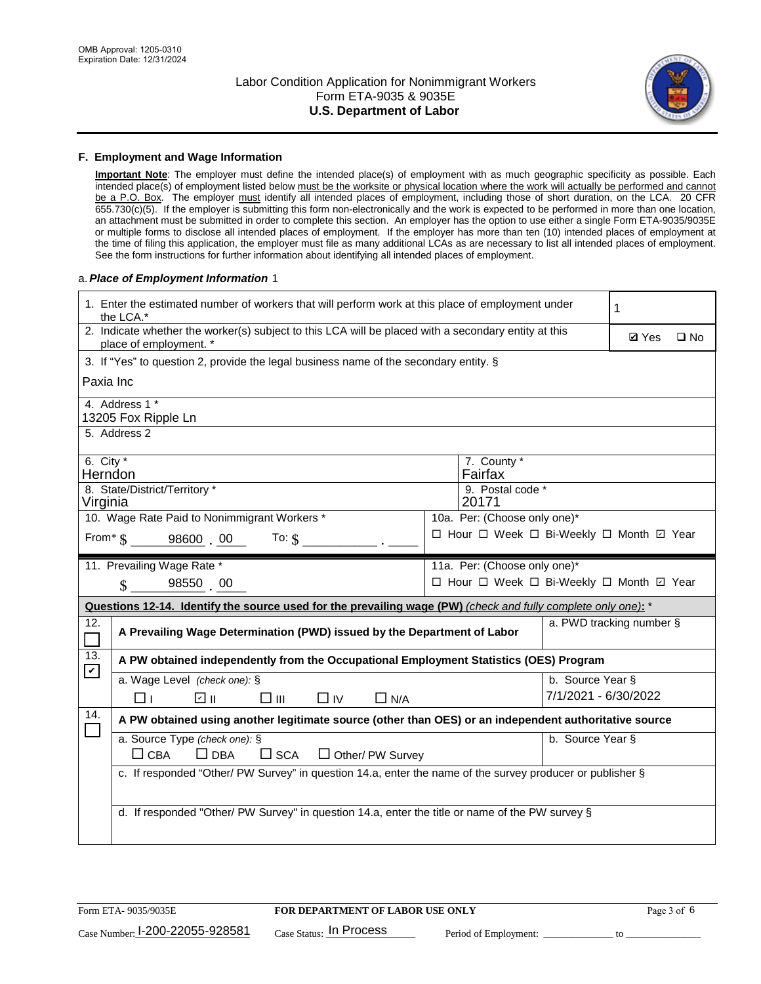

#### **F. Employment and Wage Information**

**Important Note**: The employer must define the intended place(s) of employment with as much geographic specificity as possible. Each intended place(s) of employment listed below must be the worksite or physical location where the work will actually be performed and cannot be a P.O. Box. The employer must identify all intended places of employment, including those of short duration, on the LCA. 20 CFR 655.730(c)(5). If the employer is submitting this form non-electronically and the work is expected to be performed in more than one location, an attachment must be submitted in order to complete this section. An employer has the option to use either a single Form ETA-9035/9035E or multiple forms to disclose all intended places of employment. If the employer has more than ten (10) intended places of employment at the time of filing this application, the employer must file as many additional LCAs as are necessary to list all intended places of employment. See the form instructions for further information about identifying all intended places of employment.

#### a.*Place of Employment Information* 1

|                                                                              | 1. Enter the estimated number of workers that will perform work at this place of employment under<br>the LCA.*                 |  |                                          |                      |                          |              |  |
|------------------------------------------------------------------------------|--------------------------------------------------------------------------------------------------------------------------------|--|------------------------------------------|----------------------|--------------------------|--------------|--|
|                                                                              | 2. Indicate whether the worker(s) subject to this LCA will be placed with a secondary entity at this<br>place of employment. * |  |                                          |                      | <b>Ø</b> Yes             | $\square$ No |  |
|                                                                              | 3. If "Yes" to question 2, provide the legal business name of the secondary entity. §                                          |  |                                          |                      |                          |              |  |
| Paxia Inc                                                                    |                                                                                                                                |  |                                          |                      |                          |              |  |
|                                                                              | 4. Address 1 *<br>13205 Fox Ripple Ln                                                                                          |  |                                          |                      |                          |              |  |
|                                                                              | 5. Address 2                                                                                                                   |  |                                          |                      |                          |              |  |
|                                                                              | 6. City $*$<br>7. County *<br>Fairfax<br>Herndon                                                                               |  |                                          |                      |                          |              |  |
| 8. State/District/Territory *<br>9. Postal code *<br>20171<br>Virginia       |                                                                                                                                |  |                                          |                      |                          |              |  |
| 10. Wage Rate Paid to Nonimmigrant Workers *<br>10a. Per: (Choose only one)* |                                                                                                                                |  |                                          |                      |                          |              |  |
|                                                                              | From $*$ $\S$ 98600 00<br>To: $$$                                                                                              |  | □ Hour □ Week □ Bi-Weekly □ Month ☑ Year |                      |                          |              |  |
|                                                                              | 11. Prevailing Wage Rate *<br>11a. Per: (Choose only one)*                                                                     |  |                                          |                      |                          |              |  |
|                                                                              | 98550 00<br>$\mathbf{\$}$                                                                                                      |  | □ Hour □ Week □ Bi-Weekly □ Month ☑ Year |                      |                          |              |  |
|                                                                              | Questions 12-14. Identify the source used for the prevailing wage (PW) (check and fully complete only one): *                  |  |                                          |                      |                          |              |  |
| 12.                                                                          | A Prevailing Wage Determination (PWD) issued by the Department of Labor                                                        |  |                                          |                      | a. PWD tracking number § |              |  |
| 13.                                                                          | A PW obtained independently from the Occupational Employment Statistics (OES) Program                                          |  |                                          |                      |                          |              |  |
| $\mathbf v$                                                                  | a. Wage Level (check one): §                                                                                                   |  |                                          | b. Source Year §     |                          |              |  |
|                                                                              | பெ<br>$\square$ $\square$<br>$\Box$ IV<br>$\Box$ N/A<br>□⊥                                                                     |  |                                          | 7/1/2021 - 6/30/2022 |                          |              |  |
| 14.                                                                          | A PW obtained using another legitimate source (other than OES) or an independent authoritative source                          |  |                                          |                      |                          |              |  |
|                                                                              | a. Source Type (check one): §<br>$\Box$ CBA<br>$\Box$ DBA<br>$\square$ SCA<br>$\Box$ Other/ PW Survey                          |  |                                          | b. Source Year §     |                          |              |  |
|                                                                              | c. If responded "Other/ PW Survey" in question 14.a, enter the name of the survey producer or publisher §                      |  |                                          |                      |                          |              |  |
|                                                                              | d. If responded "Other/ PW Survey" in question 14.a, enter the title or name of the PW survey §                                |  |                                          |                      |                          |              |  |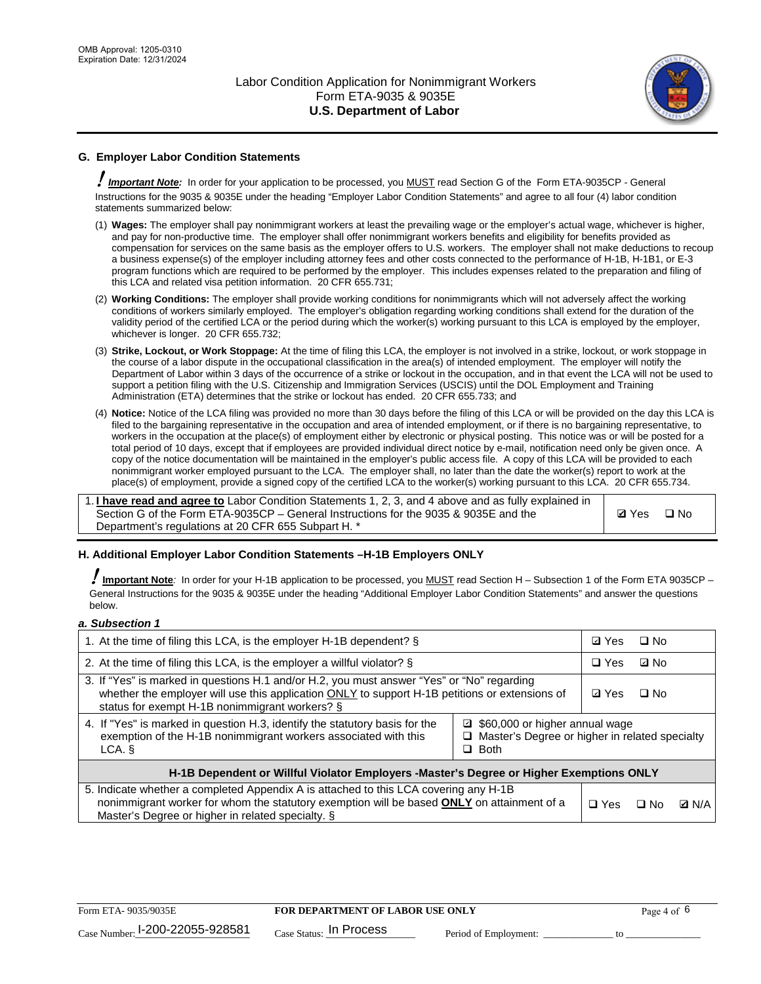

# **G. Employer Labor Condition Statements**

! *Important Note:* In order for your application to be processed, you MUST read Section G of the Form ETA-9035CP - General Instructions for the 9035 & 9035E under the heading "Employer Labor Condition Statements" and agree to all four (4) labor condition statements summarized below:

- (1) **Wages:** The employer shall pay nonimmigrant workers at least the prevailing wage or the employer's actual wage, whichever is higher, and pay for non-productive time. The employer shall offer nonimmigrant workers benefits and eligibility for benefits provided as compensation for services on the same basis as the employer offers to U.S. workers. The employer shall not make deductions to recoup a business expense(s) of the employer including attorney fees and other costs connected to the performance of H-1B, H-1B1, or E-3 program functions which are required to be performed by the employer. This includes expenses related to the preparation and filing of this LCA and related visa petition information. 20 CFR 655.731;
- (2) **Working Conditions:** The employer shall provide working conditions for nonimmigrants which will not adversely affect the working conditions of workers similarly employed. The employer's obligation regarding working conditions shall extend for the duration of the validity period of the certified LCA or the period during which the worker(s) working pursuant to this LCA is employed by the employer, whichever is longer. 20 CFR 655.732;
- (3) **Strike, Lockout, or Work Stoppage:** At the time of filing this LCA, the employer is not involved in a strike, lockout, or work stoppage in the course of a labor dispute in the occupational classification in the area(s) of intended employment. The employer will notify the Department of Labor within 3 days of the occurrence of a strike or lockout in the occupation, and in that event the LCA will not be used to support a petition filing with the U.S. Citizenship and Immigration Services (USCIS) until the DOL Employment and Training Administration (ETA) determines that the strike or lockout has ended. 20 CFR 655.733; and
- (4) **Notice:** Notice of the LCA filing was provided no more than 30 days before the filing of this LCA or will be provided on the day this LCA is filed to the bargaining representative in the occupation and area of intended employment, or if there is no bargaining representative, to workers in the occupation at the place(s) of employment either by electronic or physical posting. This notice was or will be posted for a total period of 10 days, except that if employees are provided individual direct notice by e-mail, notification need only be given once. A copy of the notice documentation will be maintained in the employer's public access file. A copy of this LCA will be provided to each nonimmigrant worker employed pursuant to the LCA. The employer shall, no later than the date the worker(s) report to work at the place(s) of employment, provide a signed copy of the certified LCA to the worker(s) working pursuant to this LCA. 20 CFR 655.734.

1. **I have read and agree to** Labor Condition Statements 1, 2, 3, and 4 above and as fully explained in Section G of the Form ETA-9035CP – General Instructions for the 9035 & 9035E and the Department's regulations at 20 CFR 655 Subpart H. \*

**Ø**Yes ロNo

### **H. Additional Employer Labor Condition Statements –H-1B Employers ONLY**

!**Important Note***:* In order for your H-1B application to be processed, you MUST read Section H – Subsection 1 of the Form ETA 9035CP – General Instructions for the 9035 & 9035E under the heading "Additional Employer Labor Condition Statements" and answer the questions below.

#### *a. Subsection 1*

| 1. At the time of filing this LCA, is the employer H-1B dependent? §                                                                                                                                                                           |                                                                                                     | ⊡ Yes | □ No      |              |
|------------------------------------------------------------------------------------------------------------------------------------------------------------------------------------------------------------------------------------------------|-----------------------------------------------------------------------------------------------------|-------|-----------|--------------|
| 2. At the time of filing this LCA, is the employer a willful violator? $\S$                                                                                                                                                                    |                                                                                                     |       | ⊡ No      |              |
| 3. If "Yes" is marked in questions H.1 and/or H.2, you must answer "Yes" or "No" regarding<br>whether the employer will use this application ONLY to support H-1B petitions or extensions of<br>status for exempt H-1B nonimmigrant workers? § |                                                                                                     |       | $\Box$ No |              |
| 4. If "Yes" is marked in question H.3, identify the statutory basis for the<br>exemption of the H-1B nonimmigrant workers associated with this<br>LCA. §                                                                                       | ■ \$60,000 or higher annual wage<br>□ Master's Degree or higher in related specialty<br>$\Box$ Both |       |           |              |
| H-1B Dependent or Willful Violator Employers -Master's Degree or Higher Exemptions ONLY                                                                                                                                                        |                                                                                                     |       |           |              |
| 5. Indicate whether a completed Appendix A is attached to this LCA covering any H-1B<br>nonimmigrant worker for whom the statutory exemption will be based <b>ONLY</b> on attainment of a<br>Master's Degree or higher in related specialty. § |                                                                                                     |       | ⊡ No      | <b>D</b> N/A |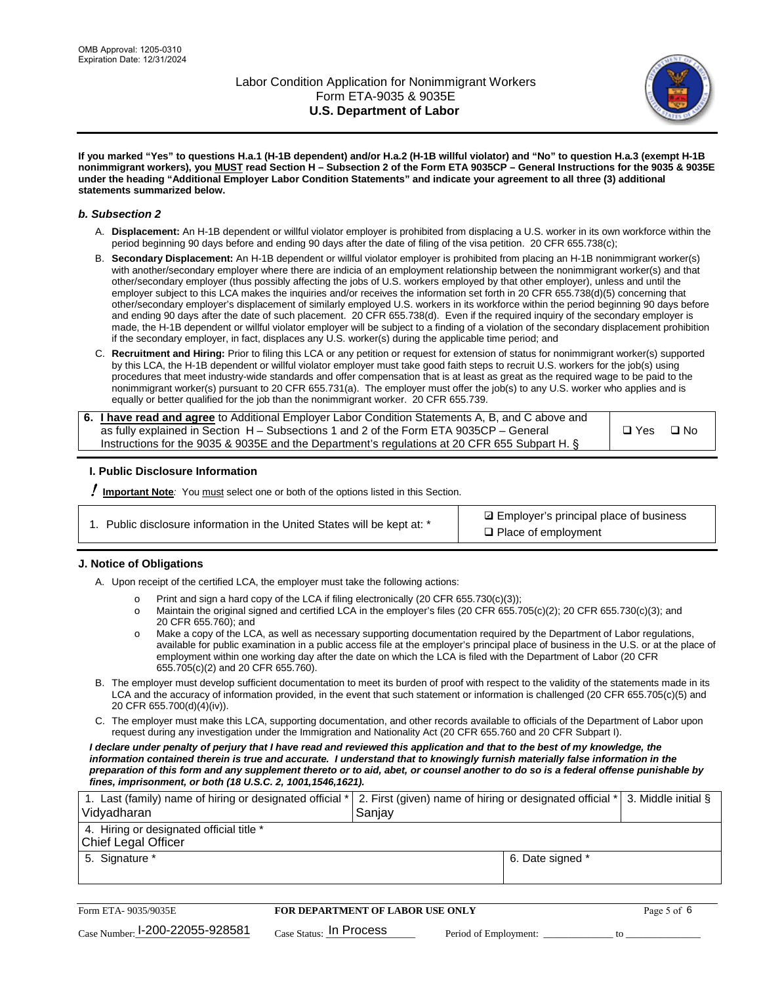

**If you marked "Yes" to questions H.a.1 (H-1B dependent) and/or H.a.2 (H-1B willful violator) and "No" to question H.a.3 (exempt H-1B nonimmigrant workers), you MUST read Section H – Subsection 2 of the Form ETA 9035CP – General Instructions for the 9035 & 9035E under the heading "Additional Employer Labor Condition Statements" and indicate your agreement to all three (3) additional statements summarized below.**

#### *b. Subsection 2*

- A. **Displacement:** An H-1B dependent or willful violator employer is prohibited from displacing a U.S. worker in its own workforce within the period beginning 90 days before and ending 90 days after the date of filing of the visa petition. 20 CFR 655.738(c);
- B. **Secondary Displacement:** An H-1B dependent or willful violator employer is prohibited from placing an H-1B nonimmigrant worker(s) with another/secondary employer where there are indicia of an employment relationship between the nonimmigrant worker(s) and that other/secondary employer (thus possibly affecting the jobs of U.S. workers employed by that other employer), unless and until the employer subject to this LCA makes the inquiries and/or receives the information set forth in 20 CFR 655.738(d)(5) concerning that other/secondary employer's displacement of similarly employed U.S. workers in its workforce within the period beginning 90 days before and ending 90 days after the date of such placement. 20 CFR 655.738(d). Even if the required inquiry of the secondary employer is made, the H-1B dependent or willful violator employer will be subject to a finding of a violation of the secondary displacement prohibition if the secondary employer, in fact, displaces any U.S. worker(s) during the applicable time period; and
- C. **Recruitment and Hiring:** Prior to filing this LCA or any petition or request for extension of status for nonimmigrant worker(s) supported by this LCA, the H-1B dependent or willful violator employer must take good faith steps to recruit U.S. workers for the job(s) using procedures that meet industry-wide standards and offer compensation that is at least as great as the required wage to be paid to the nonimmigrant worker(s) pursuant to 20 CFR 655.731(a). The employer must offer the job(s) to any U.S. worker who applies and is equally or better qualified for the job than the nonimmigrant worker. 20 CFR 655.739.

| 6. I have read and agree to Additional Employer Labor Condition Statements A, B, and C above and |       |           |
|--------------------------------------------------------------------------------------------------|-------|-----------|
| as fully explained in Section H – Subsections 1 and 2 of the Form ETA 9035CP – General           | □ Yes | $\Box$ No |
| Instructions for the 9035 & 9035E and the Department's regulations at 20 CFR 655 Subpart H. §    |       |           |

### **I. Public Disclosure Information**

! **Important Note***:* You must select one or both of the options listed in this Section.

| 1. Public disclosure information in the United States will be kept at: * |  |  |  |  |  |  |  |
|--------------------------------------------------------------------------|--|--|--|--|--|--|--|
|--------------------------------------------------------------------------|--|--|--|--|--|--|--|

**sqrt** Employer's principal place of business □ Place of employment

### **J. Notice of Obligations**

A. Upon receipt of the certified LCA, the employer must take the following actions:

- o Print and sign a hard copy of the LCA if filing electronically (20 CFR 655.730(c)(3));<br>
Maintain the original signed and certified LCA in the employer's files (20 CFR 655.7
- Maintain the original signed and certified LCA in the employer's files (20 CFR 655.705(c)(2); 20 CFR 655.730(c)(3); and 20 CFR 655.760); and
- o Make a copy of the LCA, as well as necessary supporting documentation required by the Department of Labor regulations, available for public examination in a public access file at the employer's principal place of business in the U.S. or at the place of employment within one working day after the date on which the LCA is filed with the Department of Labor (20 CFR 655.705(c)(2) and 20 CFR 655.760).
- B. The employer must develop sufficient documentation to meet its burden of proof with respect to the validity of the statements made in its LCA and the accuracy of information provided, in the event that such statement or information is challenged (20 CFR 655.705(c)(5) and 20 CFR 655.700(d)(4)(iv)).
- C. The employer must make this LCA, supporting documentation, and other records available to officials of the Department of Labor upon request during any investigation under the Immigration and Nationality Act (20 CFR 655.760 and 20 CFR Subpart I).

*I declare under penalty of perjury that I have read and reviewed this application and that to the best of my knowledge, the*  information contained therein is true and accurate. I understand that to knowingly furnish materially false information in the *preparation of this form and any supplement thereto or to aid, abet, or counsel another to do so is a federal offense punishable by fines, imprisonment, or both (18 U.S.C. 2, 1001,1546,1621).*

| 1. Last (family) name of hiring or designated official *   2. First (given) name of hiring or designated official *   3. Middle initial §<br>Vidyadharan | Saniav           |  |
|----------------------------------------------------------------------------------------------------------------------------------------------------------|------------------|--|
| 4. Hiring or designated official title *<br>Chief Legal Officer                                                                                          |                  |  |
| 5. Signature *                                                                                                                                           | 6. Date signed * |  |

| Form ETA- 9035/9035E            | FOR DEPARTMENT OF LABOR USE ONLY    |                       |  | Page 5 of 6 |
|---------------------------------|-------------------------------------|-----------------------|--|-------------|
| Case Number: 1-200-22055-928581 | $_{\text{Case Status:}}$ In Process | Period of Employment: |  |             |